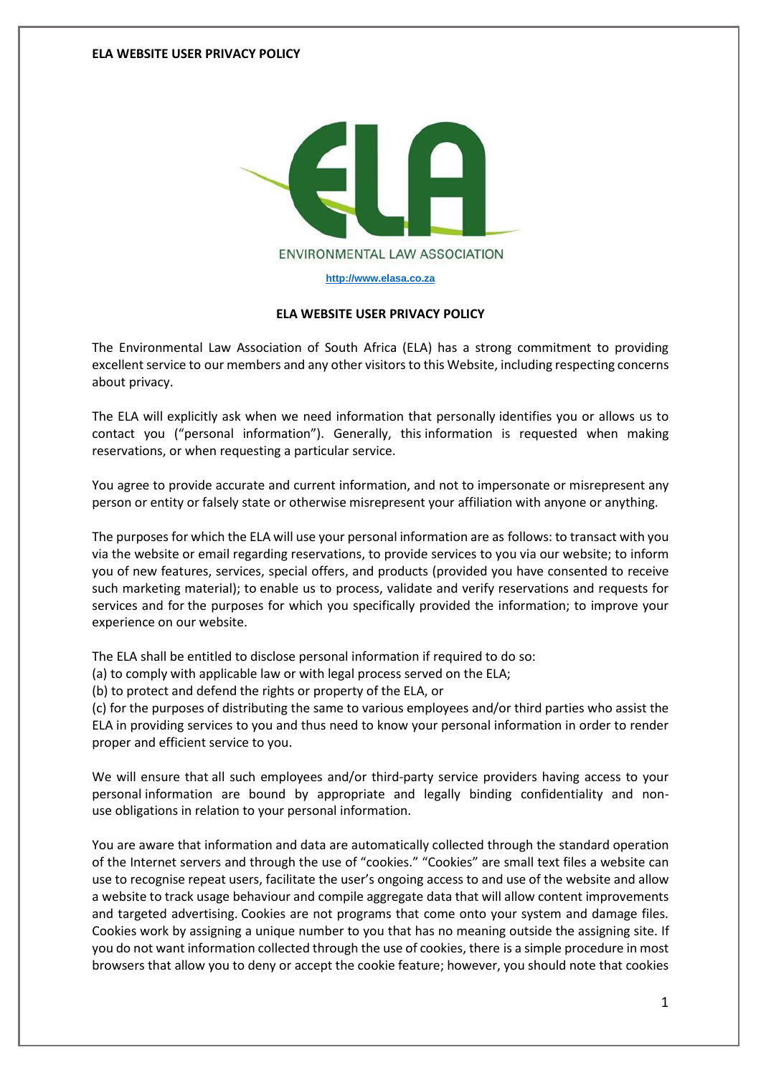

**[http://www.elasa.co.za](http://www.elasa.co.za/)**

## **ELA WEBSITE USER PRIVACY POLICY**

The Environmental Law Association of South Africa (ELA) has a strong commitment to providing excellent service to our members and any other visitors to this Website, including respecting concerns about privacy.

The ELA will explicitly ask when we need information that personally identifies you or allows us to contact you ("personal information"). Generally, this information is requested when making reservations, or when requesting a particular service.

You agree to provide accurate and current information, and not to impersonate or misrepresent any person or entity or falsely state or otherwise misrepresent your affiliation with anyone or anything.

The purposes for which the ELA will use your personal information are as follows: to transact with you via the website or email regarding reservations, to provide services to you via our website; to inform you of new features, services, special offers, and products (provided you have consented to receive such marketing material); to enable us to process, validate and verify reservations and requests for services and for the purposes for which you specifically provided the information; to improve your experience on our website.

The ELA shall be entitled to disclose personal information if required to do so:

(a) to comply with applicable law or with legal process served on the ELA;

(b) to protect and defend the rights or property of the ELA, or

(c) for the purposes of distributing the same to various employees and/or third parties who assist the ELA in providing services to you and thus need to know your personal information in order to render proper and efficient service to you.

We will ensure that all such employees and/or third-party service providers having access to your personal information are bound by appropriate and legally binding confidentiality and nonuse obligations in relation to your personal information.

You are aware that information and data are automatically collected through the standard operation of the Internet servers and through the use of "cookies." "Cookies" are small text files a website can use to recognise repeat users, facilitate the user's ongoing access to and use of the website and allow a website to track usage behaviour and compile aggregate data that will allow content improvements and targeted advertising. Cookies are not programs that come onto your system and damage files. Cookies work by assigning a unique number to you that has no meaning outside the assigning site. If you do not want information collected through the use of cookies, there is a simple procedure in most browsers that allow you to deny or accept the cookie feature; however, you should note that cookies